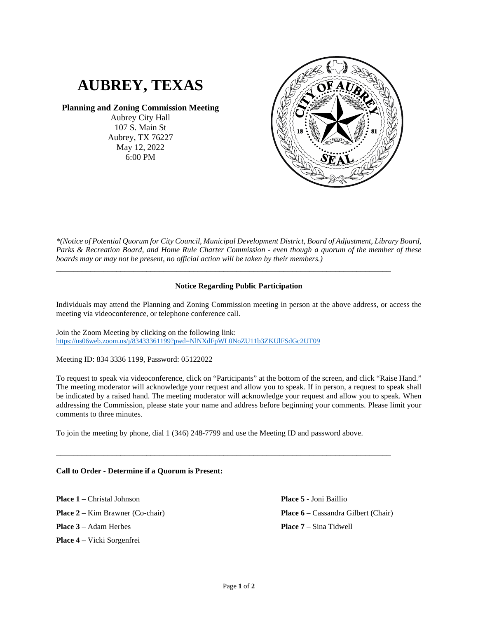# **AUBREY, TEXAS**

## **Planning and Zoning Commission Meeting**

Aubrey City Hall 107 S. Main St Aubrey, TX 76227 May 12, 2022 6:00 PM



*\*(Notice of Potential Quorum for City Council, Municipal Development District, Board of Adjustment, Library Board, Parks & Recreation Board, and Home Rule Charter Commission - even though a quorum of the member of these boards may or may not be present, no official action will be taken by their members.)*

## **Notice Regarding Public Participation**

\_\_\_\_\_\_\_\_\_\_\_\_\_\_\_\_\_\_\_\_\_\_\_\_\_\_\_\_\_\_\_\_\_\_\_\_\_\_\_\_\_\_\_\_\_\_\_\_\_\_\_\_\_\_\_\_\_\_\_\_\_\_\_\_\_\_\_\_\_\_\_\_\_\_\_\_\_\_

Individuals may attend the Planning and Zoning Commission meeting in person at the above address, or access the meeting via videoconference, or telephone conference call.

Join the Zoom Meeting by clicking on the following link: <https://us06web.zoom.us/j/83433361199?pwd=NlNXdFpWL0NoZU11b3ZKUlFSdGc2UT09>

Meeting ID: 834 3336 1199, Password: 05122022

To request to speak via videoconference, click on "Participants" at the bottom of the screen, and click "Raise Hand." The meeting moderator will acknowledge your request and allow you to speak. If in person, a request to speak shall be indicated by a raised hand. The meeting moderator will acknowledge your request and allow you to speak. When addressing the Commission, please state your name and address before beginning your comments. Please limit your comments to three minutes.

To join the meeting by phone, dial 1 (346) 248-7799 and use the Meeting ID and password above.

\_\_\_\_\_\_\_\_\_\_\_\_\_\_\_\_\_\_\_\_\_\_\_\_\_\_\_\_\_\_\_\_\_\_\_\_\_\_\_\_\_\_\_\_\_\_\_\_\_\_\_\_\_\_\_\_\_\_\_\_\_\_\_\_\_\_\_\_\_\_\_\_\_\_\_\_\_\_

### **Call to Order - Determine if a Quorum is Present:**

**Place 1** – Christal Johnson **Place 2** – Kim Brawner (Co-chair) **Place 3** – Adam Herbes **Place 4** – Vicki Sorgenfrei

**Place 5** - Joni Baillio **Place 6** – Cassandra Gilbert (Chair) **Place 7** – Sina Tidwell